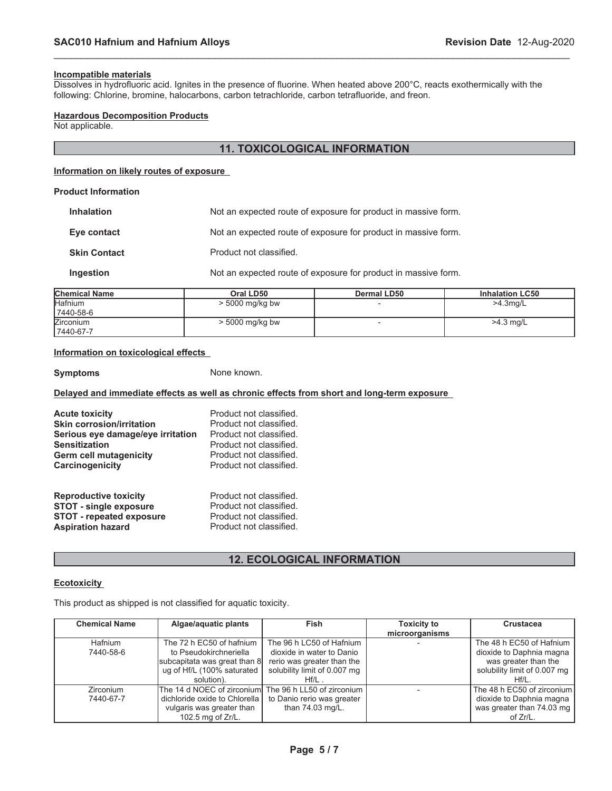$82/2$ \*,  $85/$ , 1)  $25057, 21$ 

 $(82/2^* . 85/ .1) 25057.21$ 

<u> a shekara ta 199</u>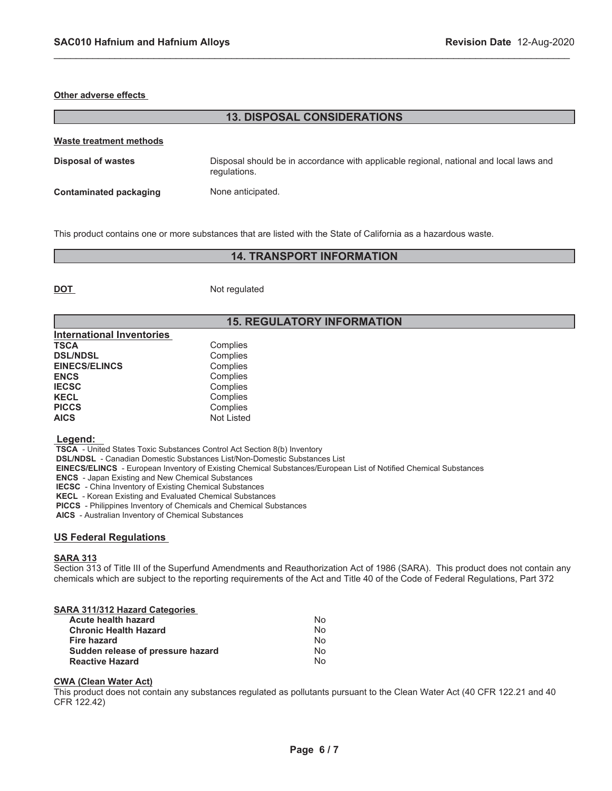#### **Other adverse effects**

| <b>13. DISPOSAL CONSIDERATIONS</b> |                                                                                                        |  |  |  |
|------------------------------------|--------------------------------------------------------------------------------------------------------|--|--|--|
| Waste treatment methods            |                                                                                                        |  |  |  |
| Disposal of wastes                 | Disposal should be in accordance with applicable regional, national and local laws and<br>regulations. |  |  |  |
| <b>Contaminated packaging</b>      | None anticipated.                                                                                      |  |  |  |

\_\_\_\_\_\_\_\_\_\_\_\_\_\_\_\_\_\_\_\_\_\_\_\_\_\_\_\_\_\_\_\_\_\_\_\_\_\_\_\_\_\_\_\_\_\_\_\_\_\_\_\_\_\_\_\_\_\_\_\_\_\_\_\_\_\_\_\_\_\_\_\_\_\_\_\_\_\_\_\_\_\_\_\_\_\_\_\_\_\_\_\_\_

This product contains one or more substances that are listed with the State of California as a hazardous waste.

# **14. TRANSPORT INFORMATION**

**DOT** Not regulated

# **15. REGULATORY INFORMATION**

| Complies   |
|------------|
| Complies   |
| Complies   |
| Complies   |
| Complies   |
| Complies   |
| Complies   |
| Not Listed |
|            |

#### **Legend:**

 **TSCA** - United States Toxic Substances Control Act Section 8(b) Inventory

 **DSL/NDSL** - Canadian Domestic Substances List/Non-Domestic Substances List

 **EINECS/ELINCS** - European Inventory of Existing Chemical Substances/European List of Notified Chemical Substances

 **ENCS** - Japan Existing and New Chemical Substances

 **IECSC** - China Inventory of Existing Chemical Substances

 **KECL** - Korean Existing and Evaluated Chemical Substances

 **PICCS** - Philippines Inventory of Chemicals and Chemical Substances

 **AICS** - Australian Inventory of Chemical Substances

### **US Federal Regulations**

### **SARA 313**

Section 313 of Title III of the Superfund Amendments and Reauthorization Act of 1986 (SARA). This product does not contain any chemicals which are subject to the reporting requirements of the Act and Title 40 of the Code of Federal Regulations, Part 372

### **SARA 311/312 Hazard Categories**

| Acute health hazard               | No             |
|-----------------------------------|----------------|
| <b>Chronic Health Hazard</b>      | No.            |
| Fire hazard                       | N <sub>o</sub> |
| Sudden release of pressure hazard | No.            |
| <b>Reactive Hazard</b>            | No.            |

#### **CWA (Clean Water Act)**

This product does not contain any substances regulated as pollutants pursuant to the Clean Water Act (40 CFR 122.21 and 40 CFR 122.42)